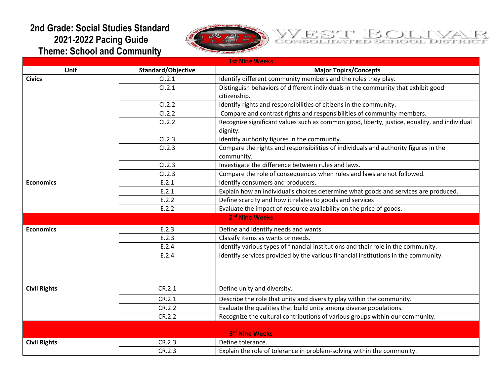## **2nd Grade: Social Studies Standard 2021-2022 Pacing Guide Theme: School and Community**





| <b>1st Nine Weeks</b> |                    |                                                                                                          |
|-----------------------|--------------------|----------------------------------------------------------------------------------------------------------|
| Unit                  | Standard/Objective | <b>Major Topics/Concepts</b>                                                                             |
| <b>Civics</b>         | Cl.2.1             | Identify different community members and the roles they play.                                            |
|                       | CI.2.1             | Distinguish behaviors of different individuals in the community that exhibit good                        |
|                       |                    | citizenship.                                                                                             |
|                       | CI.2.2             | Identify rights and responsibilities of citizens in the community.                                       |
|                       | CI.2.2             | Compare and contrast rights and responsibilities of community members.                                   |
|                       | CI.2.2             | Recognize significant values such as common good, liberty, justice, equality, and individual<br>dignity. |
|                       | CI.2.3             | Identify authority figures in the community.                                                             |
|                       | CI.2.3             | Compare the rights and responsibilities of individuals and authority figures in the<br>community.        |
|                       | CI.2.3             | Investigate the difference between rules and laws.                                                       |
|                       | CI.2.3             | Compare the role of consequences when rules and laws are not followed.                                   |
| <b>Economics</b>      | E.2.1              | Identify consumers and producers.                                                                        |
|                       | E.2.1              | Explain how an individual's choices determine what goods and services are produced.                      |
|                       | E.2.2              | Define scarcity and how it relates to goods and services                                                 |
|                       | E.2.2              | Evaluate the impact of resource availability on the price of goods.                                      |
|                       |                    | 2 <sup>nd</sup> Nine Weeks                                                                               |
| <b>Economics</b>      | E.2.3              | Define and identify needs and wants.                                                                     |
|                       | E.2.3              | Classify items as wants or needs.                                                                        |
|                       | E.2.4              | Identify various types of financial institutions and their role in the community.                        |
|                       | E.2.4              | Identify services provided by the various financial institutions in the community.                       |
|                       |                    |                                                                                                          |
| <b>Civil Rights</b>   | CR.2.1             | Define unity and diversity.                                                                              |
|                       | CR.2.1             | Describe the role that unity and diversity play within the community.                                    |
|                       | CR.2.2             | Evaluate the qualities that build unity among diverse populations.                                       |
|                       | CR.2.2             | Recognize the cultural contributions of various groups within our community.                             |
|                       |                    | 3rd Nine Weeks                                                                                           |
| <b>Civil Rights</b>   | CR.2.3             | Define tolerance.                                                                                        |
|                       | CR.2.3             | Explain the role of tolerance in problem-solving within the community.                                   |